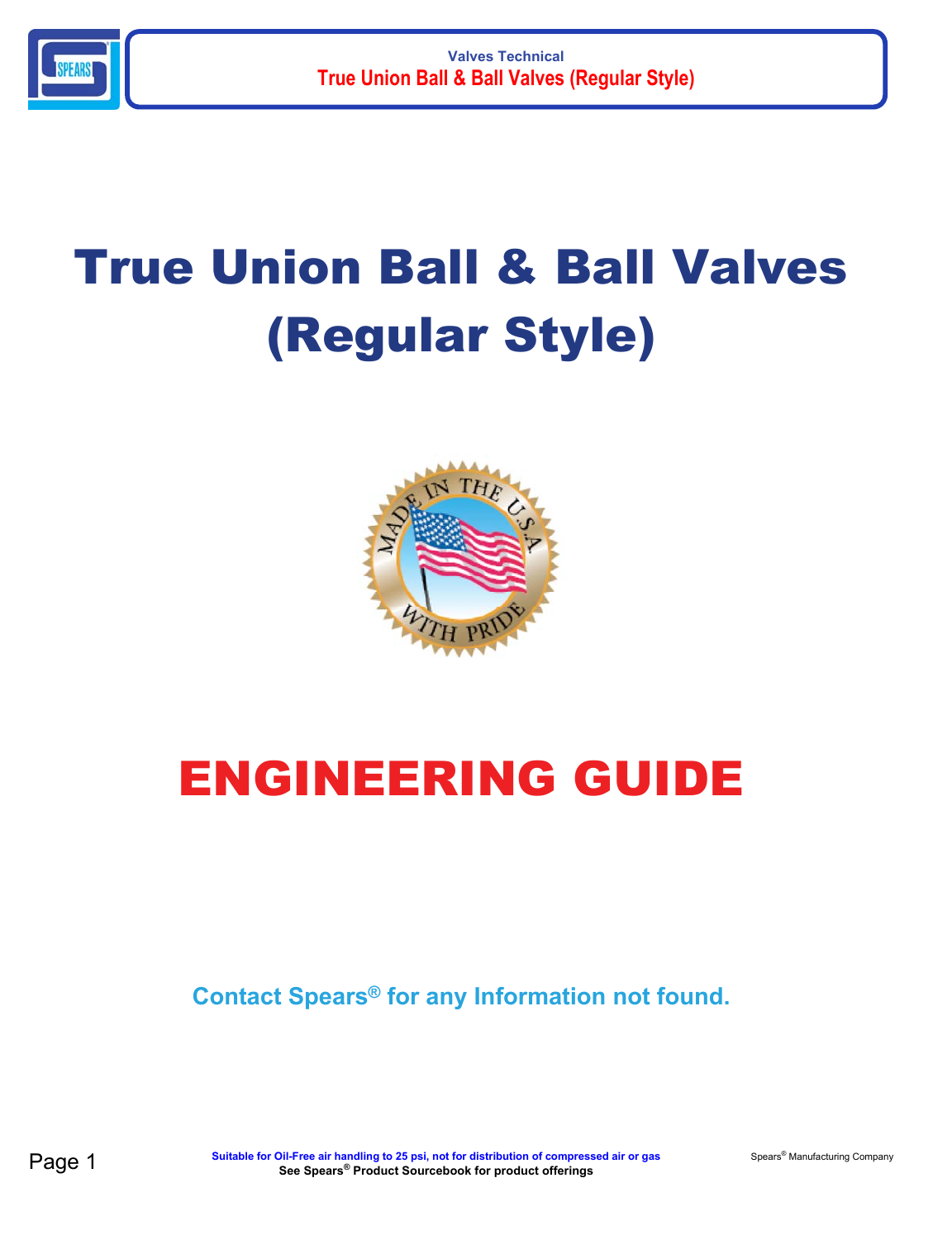

# True Union Ball & Ball Valves (Regular Style)



## ENGINEERING GUIDE

**Contact Spears® for any Information not found.**

**Page 1** Suitable for Oil-Free air handling to 25 psi, not for distribution of compressed air or gas Spears® Manufacturing Company **See Spears® Product Sourcebook for product offerings**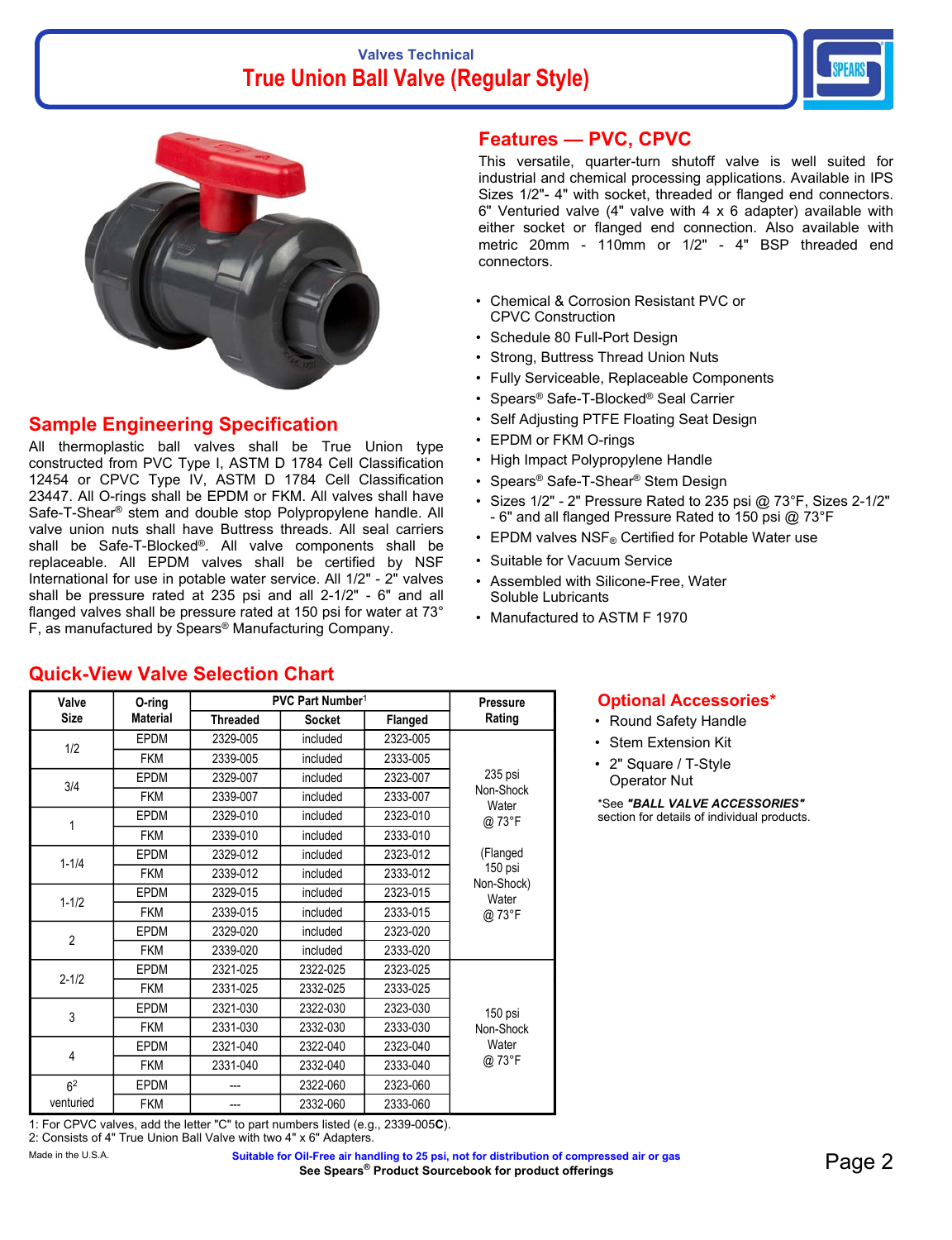### **Valves Technical True Union Ball Valve (Regular Style)**





### **Sample Engineering Specification**

**Quick-View Valve Selection Chart**

All thermoplastic ball valves shall be True Union type constructed from PVC Type I, ASTM D 1784 Cell Classification 12454 or CPVC Type IV, ASTM D 1784 Cell Classification 23447. All O-rings shall be EPDM or FKM. All valves shall have Safe-T-Shear® stem and double stop Polypropylene handle. All valve union nuts shall have Buttress threads. All seal carriers shall be Safe-T-Blocked®. All valve components shall be replaceable. All EPDM valves shall be certified by NSF International for use in potable water service. All 1/2" - 2" valves shall be pressure rated at 235 psi and all 2-1/2" - 6" and all flanged valves shall be pressure rated at 150 psi for water at 73° F, as manufactured by Spears® Manufacturing Company.

### **Features — PVC, CPVC**

This versatile, quarter-turn shutoff valve is well suited for industrial and chemical processing applications. Available in IPS Sizes 1/2"- 4" with socket, threaded or flanged end connectors. 6" Venturied valve (4" valve with 4 x 6 adapter) available with either socket or flanged end connection. Also available with metric 20mm - 110mm or 1/2" - 4" BSP threaded end connectors.

- Chemical & Corrosion Resistant PVC or CPVC Construction
- Schedule 80 Full-Port Design
- Strong, Buttress Thread Union Nuts
- Fully Serviceable, Replaceable Components
- Spears® Safe-T-Blocked® Seal Carrier
- Self Adjusting PTFE Floating Seat Design
- EPDM or FKM O-rings
- High Impact Polypropylene Handle
- Spears® Safe-T-Shear® Stem Design
- Sizes 1/2" 2" Pressure Rated to 235 psi @ 73°F, Sizes 2-1/2" - 6" and all flanged Pressure Rated to 150 psi @ 73°F
- EPDM valves NSF® Certified for Potable Water use
- Suitable for Vacuum Service
- Assembled with Silicone-Free, Water Soluble Lubricants
- Manufactured to ASTM F 1970

### **Valve Size O-ring Material PVC Part Number<sup>1</sup> Pressure Threaded Socket Flanged Rating** 1/2 EPDM 2329-005 included 2323-005 235 psi Non-Shock **Water** @ 73°F (Flanged 150 psi Non-Shock) Water @ 73°F FKM 2339-005 included 2333-005 3/4 EPDM 2329-007 included 2323-007 FKM 2339-007 included 2333-007 <sup>1</sup> EPDM 2329-010 included 2323-010 FKM 2339-010 included 2333-010 1-1/4 EPDM 2329-012 included 2323-012 FKM 2339-012 included 2333-012 1-1/2 EPDM 2329-015 included 2323-015 FKM 2339-015 included 2333-015 <sup>2</sup> EPDM 2329-020 included 2323-020 FKM 2339-020 included 2333-020 2-1/2 EPDM 2321-025 2322-025 2323-025 150 psi Non-Shock **Water** @ 73°F FKM 2331-025 2332-025 2333-025 <sup>3</sup> EPDM 2321-030 2322-030 2323-030 FKM 2331-030 2332-030 2333-030 4 EPDM 2321-040 2322-040 2323-040 FKM 2331-040 2332-040 2333-040

1: For CPVC valves, add the letter "C" to part numbers listed (e.g., 2339-005**C**). 2: Consists of 4" True Union Ball Valve with two 4" x 6" Adapters.

EPDM --- 2322-060 2323-060 FKM | --- | 2332-060 | 2333-060

62 venturied

Made in the U.S.A. **Suitable for Oil-Free air handling to 25 psi, not for distribution of compressed air or gas** Dil-Free air handling to 25 psi, not for distribution of compressed air or gas **Page 2**<br>See Spears® Product Sourcebook for product offerings

### **Optional Accessories\***

- Round Safety Handle
- Stem Extension Kit
- 2" Square / T-Style Operator Nut

\*See *"BALL VALVE ACCESSORIES"* section for details of individual products.